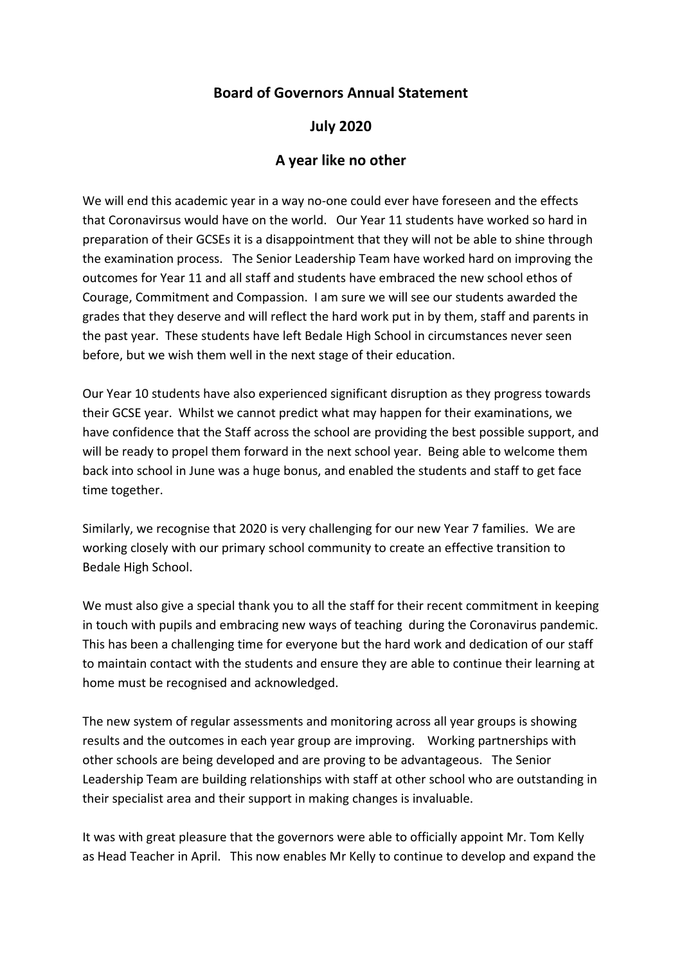## **Board of Governors Annual Statement**

## **July 2020**

## **A year like no other**

We will end this academic year in a way no-one could ever have foreseen and the effects that Coronavirsus would have on the world. Our Year 11 students have worked so hard in preparation of their GCSEs it is a disappointment that they will not be able to shine through the examination process. The Senior Leadership Team have worked hard on improving the outcomes for Year 11 and all staff and students have embraced the new school ethos of Courage, Commitment and Compassion. I am sure we will see our students awarded the grades that they deserve and will reflect the hard work put in by them, staff and parents in the past year. These students have left Bedale High School in circumstances never seen before, but we wish them well in the next stage of their education.

Our Year 10 students have also experienced significant disruption as they progress towards their GCSE year. Whilst we cannot predict what may happen for their examinations, we have confidence that the Staff across the school are providing the best possible support, and will be ready to propel them forward in the next school year. Being able to welcome them back into school in June was a huge bonus, and enabled the students and staff to get face time together.

Similarly, we recognise that 2020 is very challenging for our new Year 7 families. We are working closely with our primary school community to create an effective transition to Bedale High School.

We must also give a special thank you to all the staff for their recent commitment in keeping in touch with pupils and embracing new ways of teaching during the Coronavirus pandemic. This has been a challenging time for everyone but the hard work and dedication of our staff to maintain contact with the students and ensure they are able to continue their learning at home must be recognised and acknowledged.

The new system of regular assessments and monitoring across all year groups is showing results and the outcomes in each year group are improving. Working partnerships with other schools are being developed and are proving to be advantageous. The Senior Leadership Team are building relationships with staff at other school who are outstanding in their specialist area and their support in making changes is invaluable.

It was with great pleasure that the governors were able to officially appoint Mr. Tom Kelly as Head Teacher in April. This now enables Mr Kelly to continue to develop and expand the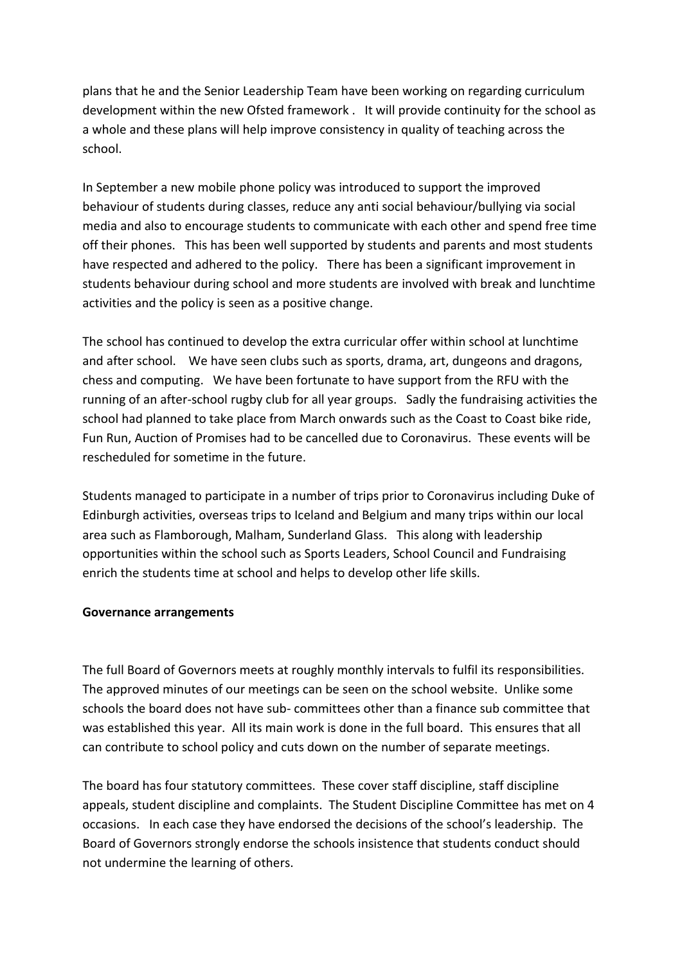plans that he and the Senior Leadership Team have been working on regarding curriculum development within the new Ofsted framework . It will provide continuity for the school as a whole and these plans will help improve consistency in quality of teaching across the school.

In September a new mobile phone policy was introduced to support the improved behaviour of students during classes, reduce any anti social behaviour/bullying via social media and also to encourage students to communicate with each other and spend free time off their phones. This has been well supported by students and parents and most students have respected and adhered to the policy. There has been a significant improvement in students behaviour during school and more students are involved with break and lunchtime activities and the policy is seen as a positive change.

The school has continued to develop the extra curricular offer within school at lunchtime and after school. We have seen clubs such as sports, drama, art, dungeons and dragons, chess and computing. We have been fortunate to have support from the RFU with the running of an after-school rugby club for all year groups. Sadly the fundraising activities the school had planned to take place from March onwards such as the Coast to Coast bike ride, Fun Run, Auction of Promises had to be cancelled due to Coronavirus. These events will be rescheduled for sometime in the future.

Students managed to participate in a number of trips prior to Coronavirus including Duke of Edinburgh activities, overseas trips to Iceland and Belgium and many trips within our local area such as Flamborough, Malham, Sunderland Glass. This along with leadership opportunities within the school such as Sports Leaders, School Council and Fundraising enrich the students time at school and helps to develop other life skills.

## **Governance arrangements**

The full Board of Governors meets at roughly monthly intervals to fulfil its responsibilities. The approved minutes of our meetings can be seen on the school website. Unlike some schools the board does not have sub- committees other than a finance sub committee that was established this year. All its main work is done in the full board. This ensures that all can contribute to school policy and cuts down on the number of separate meetings.

The board has four statutory committees. These cover staff discipline, staff discipline appeals, student discipline and complaints. The Student Discipline Committee has met on 4 occasions. In each case they have endorsed the decisions of the school's leadership. The Board of Governors strongly endorse the schools insistence that students conduct should not undermine the learning of others.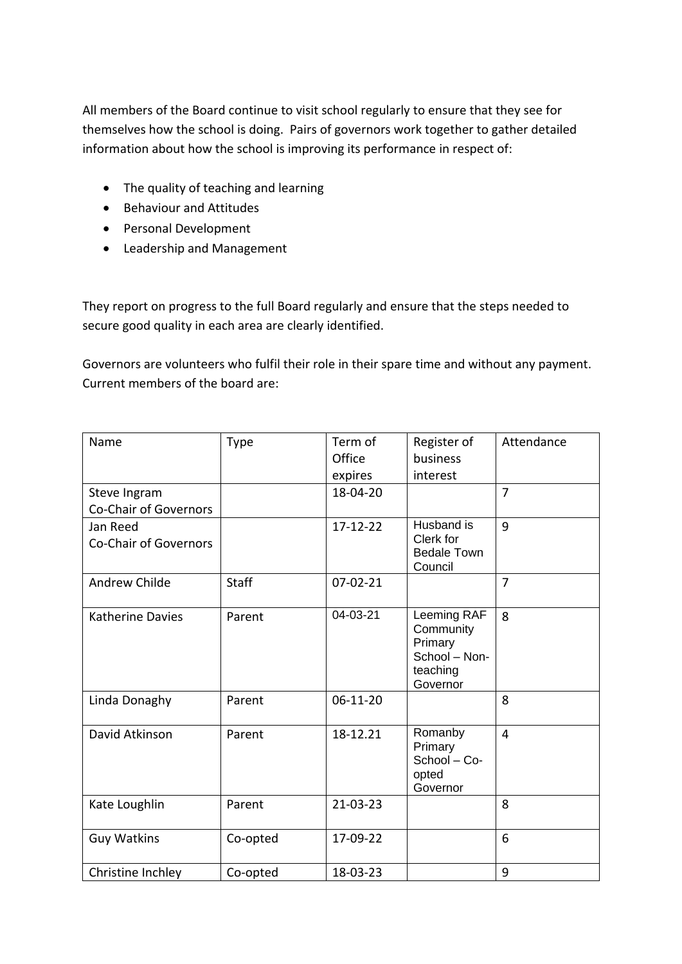All members of the Board continue to visit school regularly to ensure that they see for themselves how the school is doing. Pairs of governors work together to gather detailed information about how the school is improving its performance in respect of:

- The quality of teaching and learning
- Behaviour and Attitudes
- Personal Development
- Leadership and Management

They report on progress to the full Board regularly and ensure that the steps needed to secure good quality in each area are clearly identified.

Governors are volunteers who fulfil their role in their spare time and without any payment. Current members of the board are:

| Name                                         | <b>Type</b>  | Term of<br>Office<br>expires | Register of<br>business<br>interest                                          | Attendance     |
|----------------------------------------------|--------------|------------------------------|------------------------------------------------------------------------------|----------------|
| Steve Ingram<br><b>Co-Chair of Governors</b> |              | 18-04-20                     |                                                                              | $\overline{7}$ |
| Jan Reed<br>Co-Chair of Governors            |              | 17-12-22                     | Husband is<br>Clerk for<br><b>Bedale Town</b><br>Council                     | 9              |
| <b>Andrew Childe</b>                         | <b>Staff</b> | $07 - 02 - 21$               |                                                                              | $\overline{7}$ |
| <b>Katherine Davies</b>                      | Parent       | 04-03-21                     | Leeming RAF<br>Community<br>Primary<br>School - Non-<br>teaching<br>Governor | 8              |
| Linda Donaghy                                | Parent       | 06-11-20                     |                                                                              | 8              |
| David Atkinson                               | Parent       | 18-12.21                     | Romanby<br>Primary<br>School - Co-<br>opted<br>Governor                      | $\overline{4}$ |
| Kate Loughlin                                | Parent       | 21-03-23                     |                                                                              | 8              |
| <b>Guy Watkins</b>                           | Co-opted     | 17-09-22                     |                                                                              | 6              |
| Christine Inchley                            | Co-opted     | 18-03-23                     |                                                                              | 9              |